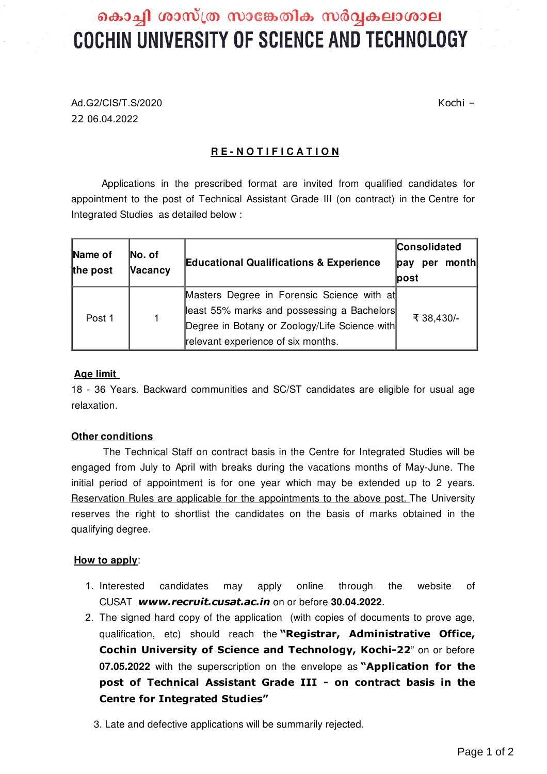# കൊച്ചി ശാസ്ത്ര സാങ്കേതിക സർവ്വകലാശാല COCHIN UNIVERSITY OF SCIENCE AND TECHNOLOGY

Ad.G2/CIS/T.S/2020 Kochi – 22 06.04.2022

## **R E - N O T I F I C A T I O N**

Applications in the prescribed format are invited from qualified candidates for appointment to the post of Technical Assistant Grade III (on contract) in the Centre for Integrated Studies as detailed below :

| Name of<br>the post | No. of<br>Vacancy | <b>Educational Qualifications &amp; Experience</b> | Consolidated<br>$\mathsf{pav}$<br>$\mathsf{post}$ | per | month |
|---------------------|-------------------|----------------------------------------------------|---------------------------------------------------|-----|-------|
| Post 1              | $\mathbf 1$       | Masters Degree in Forensic Science with at         | ₹ 38,430/-                                        |     |       |
|                     |                   | least 55% marks and possessing a Bachelors         |                                                   |     |       |
|                     |                   | Degree in Botany or Zoology/Life Science with      |                                                   |     |       |
|                     |                   | relevant experience of six months.                 |                                                   |     |       |

#### **Age limit**

18 - 36 Years. Backward communities and SC/ST candidates are eligible for usual age relaxation.

#### **Other conditions**

The Technical Staff on contract basis in the Centre for Integrated Studies will be engaged from July to April with breaks during the vacations months of May-June. The initial period of appointment is for one year which may be extended up to 2 years. Reservation Rules are applicable for the appointments to the above post. The University reserves the right to shortlist the candidates on the basis of marks obtained in the qualifying degree.

#### **How to apply**:

- 1. Interested candidates may apply online through the website of CUSAT *[www.recruit.cusat.ac.in](http://www.cusat.ac.in/)* on or before **30.04.2022**.
- 2. The signed hard copy of the application (with copies of documents to prove age, qualification, etc) should reach the **"Registrar, Administrative Office, Cochin University of Science and Technology, Kochi-22**" on or before **07.05.2022** with the superscription on the envelope as **"Application for the post of Technical Assistant Grade III - on contract basis in the Centre for Integrated Studies"**
	- 3. Late and defective applications will be summarily rejected.